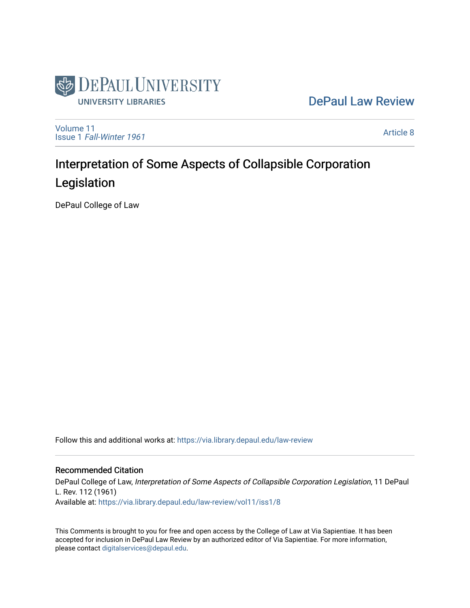

## [DePaul Law Review](https://via.library.depaul.edu/law-review)

[Volume 11](https://via.library.depaul.edu/law-review/vol11) Issue 1 [Fall-Winter 1961](https://via.library.depaul.edu/law-review/vol11/iss1)

[Article 8](https://via.library.depaul.edu/law-review/vol11/iss1/8) 

# Interpretation of Some Aspects of Collapsible Corporation Legislation

DePaul College of Law

Follow this and additional works at: [https://via.library.depaul.edu/law-review](https://via.library.depaul.edu/law-review?utm_source=via.library.depaul.edu%2Flaw-review%2Fvol11%2Fiss1%2F8&utm_medium=PDF&utm_campaign=PDFCoverPages) 

## Recommended Citation

DePaul College of Law, Interpretation of Some Aspects of Collapsible Corporation Legislation, 11 DePaul L. Rev. 112 (1961) Available at: [https://via.library.depaul.edu/law-review/vol11/iss1/8](https://via.library.depaul.edu/law-review/vol11/iss1/8?utm_source=via.library.depaul.edu%2Flaw-review%2Fvol11%2Fiss1%2F8&utm_medium=PDF&utm_campaign=PDFCoverPages) 

This Comments is brought to you for free and open access by the College of Law at Via Sapientiae. It has been accepted for inclusion in DePaul Law Review by an authorized editor of Via Sapientiae. For more information, please contact [digitalservices@depaul.edu.](mailto:digitalservices@depaul.edu)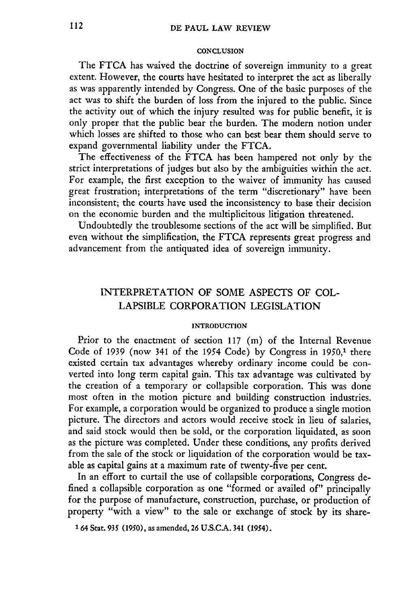#### **CONCLUSION**

The FTCA has waived the doctrine of sovereign immunity to a great extent. However, the courts have hesitated to interpret the act as liberally as was apparently intended by Congress. One of the basic purposes of the act was to shift the burden of loss from the injured to the public. Since the activity out of which the injury resulted was for public benefit, it is only proper that the public bear the burden. The modern notion under which losses are shifted to those who can best bear them should serve to expand governmental liability under the FTCA.

The effectiveness of the FTCA has been hampered not only by the strict interpretations of judges but also by the ambiguities within the act. For example, the first exception to the waiver of immunity has caused great frustration; interpretations of the term "discretionary" have been inconsistent; the courts have used the inconsistency to base their decision on the economic burden and the multiplicitous litigation threatened.

Undoubtedly the troublesome sections of the act will be simplified. But even without the simplification, the FTCA represents great progress and advancement from the antiquated idea of sovereign immunity.

## INTERPRETATION OF SOME ASPECTS OF **COL-**LAPSIBLE CORPORATION **LEGISLATION**

#### **INTRODUCTION**

Prior to the enactment of section 117 (m) of the Internal Revenue Code of 1939 (now 341 of the 1954 Code) by Congress in  $1950$ ,<sup>1</sup> there existed certain tax advantages whereby ordinary income could be converted into long term capital gain. This tax advantage was cultivated by the creation of a temporary or collapsible corporation. This was done most often in the motion picture and building construction industries. For example, a corporation would be organized to produce a single motion picture. The directors and actors would receive stock in lieu of salaries, and said stock would then be sold, or the corporation liquidated, as soon as the picture was completed. Under these conditions, any profits derived from the sale of the stock or liquidation of the corporation would be taxable as capital gains at a maximum rate of twenty-five per cent.

In an effort to curtail the use of collapsible corporations, Congress defined a collapsible corporation as one "formed or availed of" principally for the purpose of manufacture, construction, purchase, or production of property "with a view" to the sale or exchange of stock by its share-

**<sup>1 64</sup>** Stat. *935* **(1950),** as amended, **26 U.S.C.A.** 341 (1954).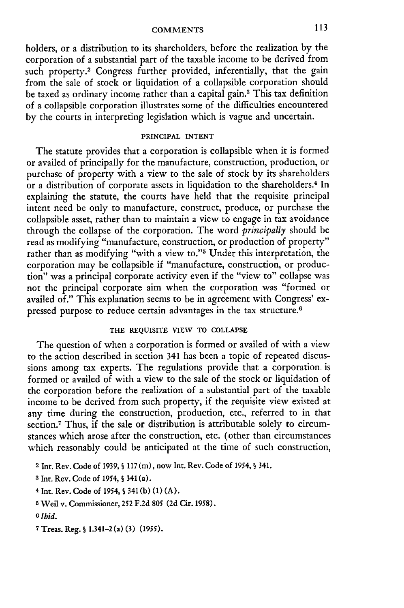## **COMMENTS i11**

holders, or a distribution to its shareholders, before the realization **by** the corporation of a substantial part of the taxable income to be derived from such property.<sup>2</sup> Congress further provided, inferentially, that the gain from the sale of stock or liquidation of a collapsible corporation should be taxed as ordinary income rather than a capital gain.3 This tax definition of a collapsible corporation illustrates some of the difficulties encountered **by** the courts in interpreting legislation which is vague and uncertain.

#### **PRINCIPAL INTENT**

The statute provides that a corporation is collapsible when it is formed or availed of principally for the manufacture, construction, production, or purchase of property with a view to the sale of stock by its shareholders or a distribution of corporate assets in liquidation to the shareholders.<sup>4</sup> In explaining the statute, the courts have held that the requisite principal intent need be only to manufacture, construct, produce, or purchase the collapsible asset, rather than to maintain a view to engage in tax avoidance through the collapse of the corporation. The word *principally* should be read as modifying "manufacture, construction, or production of property" rather than as modifying "with a view to."<sup>5</sup> Under this interpretation, the corporation may be collapsible if "manufacture, construction, or production" was a principal corporate activity even if the "view to" collapse was not the principal corporate aim when the corporation was "formed or availed of." This explanation seems to be in agreement with Congress' expressed purpose to reduce certain advantages in the tax structure.<sup>6</sup>

#### **THE REQUISITE VIEW** TO **COLLAPSE**

The question of when a corporation is formed or availed of with a view to the action described in section 341 has been a topic of repeated discussions among tax experts. The regulations provide that a corporation is formed or availed of with a view to the sale of the stock or liquidation of the corporation before the realization of a substantial part of the taxable income to be derived from such property, if the requisite view existed at any time during the construction, production, etc., referred to in that section.<sup>7</sup> Thus, if the sale or distribution is attributable solely to circumstances which arose after the construction, etc. (other than circumstances which reasonably could be anticipated at the time of such construction,

**3** Int. Rev. Code of 1954, **§** 341 (a).

- 4 Int. Rev. Code of 1954, *§* 341 (b) (1) (A).
- **5** Weil v. Commissioner, 252 F.2d 805 (2d Cir. 1958).

**7 Treas. Reg. § 1.341-2 (a) (3) (1955).**

**<sup>2</sup>**Int. Rev. Code of 1939, **§** 117 (m), now int. Rev. Code of 1954, § 341.

**<sup>6</sup>** *Ibid.*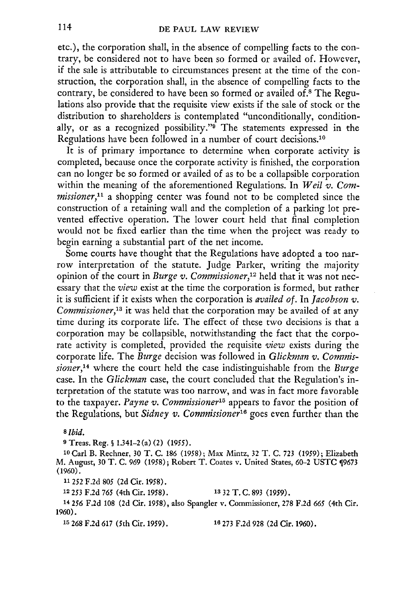etc.), the corporation shall, in the absence of compelling facts to the contrary, be considered not to have been so formed or availed of. However, if the sale is attributable to circumstances present at the time of the construction, the corporation shall, in the absence of compelling facts to the contrary, be considered to have been so formed or availed of.<sup>8</sup> The Regulations also provide that the requisite view exists if the sale of stock or the distribution to shareholders is contemplated "unconditionally, conditionally, or as a recognized possibility."<sup>5</sup> The statements expressed in the Regulations have been followed in a number of court decisions.<sup>10</sup>

It is of primary importance to determine when corporate activity is completed, because once the corporate activity is finished, the corporation can no longer be so formed or availed of as to be a collapsible corporation within the meaning of the aforementioned Regulations. In *Weil v. Commissioner*,<sup>11</sup> a shopping center was found not to be completed since the construction of a retaining wall and the completion of a parking lot prevented effective operation. The lower court held that final completion would not be fixed earlier than the time when the project was ready to begin earning a substantial part of the net income.

Some courts have thought that the Regulations have adopted a too narrow interpretation of the statute. Judge Parker, writing the majority opinion of the court in *Burge v. Commissioner,12* held that it was not necessary that the *view* exist at the time the corporation is formed, but rather it is sufficient if it exists when the corporation is *availed of.* In *Jacobson v. Commissioner,'3* it was held that the corporation may be availed of at any time during its corporate life. The effect of these two decisions is that a corporation may be collapsible, notwithstanding the fact that the corporate activity is completed, provided the requisite *view* exists during the corporate life. The *Burge* decision was followed in *Glickman v. Commissioner,14* where the court held the case indistinguishable from the *Burge* case. In the *Glickman* case, the court concluded that the Regulation's interpretation of the statute was too narrow, and was in fact more favorable to the taxpayer. *Payne v. Commissioner15* appears to favor the position of the Regulations, but Sidney v. Commissioner<sup>16</sup> goes even further than the

*8* Ibid.

**9** Treas. Reg. **S** 1.341-2 (a) (2) (1955).

10Carl B. Rechner, 30 T. C. 186 **(1958);** Max Mintz, 32 T. C. 723 **(1959);** Elizabeth M. August, 30 T. C. 969 **(1958);** Robert T. Coates v. United States, 60-2 USTC 9673 (1960).

**11252 F.2d 805 (2d** Cir. 1958).

**12253 F.2d** *765* (4th Cir. **1958). 13** 2 T. **C. 893 (1959).**

**14256 F.2d 108 (2d** Cir. **1958),** also Spangler v. Commissioner, **278 F.2d** *665* (4th Cir. 1960).

**15** 268 F.2d 617 (5th Cir. 1959). **16 273** F.2d 928 (2d Cir. 1960).

114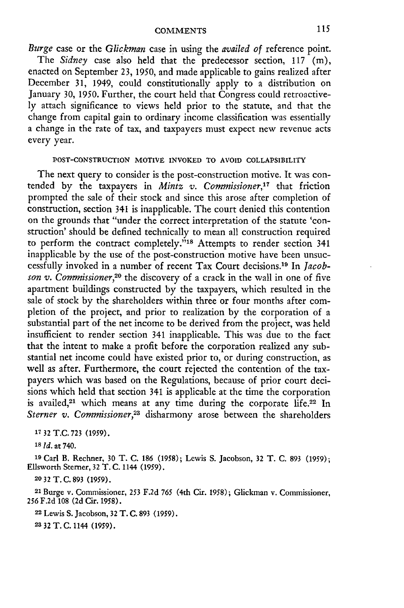#### **COMMENTS**

*Burge* case or the *Glickman* case in using the *availed of* reference point. The *Sidney* case also held that the predecessor section, 117 **(in),** enacted on September 23, 1950, and made applicable to gains realized after December 31, 1949, could constitutionally apply to a distribution on January 30, 1950. Further, the court held that Congress could retroactively attach significance to views held prior to the statute, and that the change from capital gain to ordinary income classification was essentially a change in the rate of tax, and taxpayers must expect new revenue acts every year.

#### **POST-CONSTRUCTION** MOTIVE **INVOKED** TO **AVOID** COLLAPSIBILITY

The next query to consider is the post-construction motive. It was contended by the taxpayers in *Mintz v. Commissioner,'7* that friction prompted the sale of their stock and since this arose after completion of construction, section 341 is inapplicable. The court denied this contention on the grounds that "under the correct interpretation of the statute 'construction' should be defined technically to mean all construction required to perform the contract completely."<sup>18</sup> Attempts to render section 341 inapplicable **by** the use of the post-construction motive have been unsuccessfully invoked in a number of recent Tax Court decisions.19 In *Jacobson v. Commissioner,20* the discovery of a crack in the wall in one of five apartment buildings constructed **by** the taxpayers, which resulted in the sale of stock by the shareholders within three or four months after completion of the project, and prior to realization **by** the corporation of a substantial part of the net income to be derived from the project, was held insufficient to render section 341 inapplicable. This was due to the fact that the intent to make a profit before the corporation realized any substantial net income could have existed prior to, or during construction, as well as after. Furthermore, the court rejected the contention of the taxpayers which was based on the Regulations, because of prior court decisions which held that section 341 is applicable at the time the corporation is availed,<sup>21</sup> which means at any time during the corporate life.<sup>22</sup> In Sterner v. Commissioner,<sup>23</sup> disharmony arose between the shareholders

**17 32 T.C. 723 (1959).**

**<sup>18</sup>***Id.* at 740.

**<sup>19</sup>**Carl **B.** Rechner, **30 T. C. 186 (1958);** Lewis **S.** Jacobson, **32 T. C. 893 (1959);** Ellsworth Sterner, **32** T. **C.** 1144 **(1959).**

**20 32 T. C. 893** (1959).

**<sup>21</sup>**Burge v. Commissioner, 253 F.2d **765** (4th Cir. 1958); Glickman v. Commissioner, **256** F.2d **108** (2d Cir. 1958).

**22** Lewis **S.** Jacobson, 32 T. **C. 893** (1959).

**23** 32 **T.C.** 1144 (1959).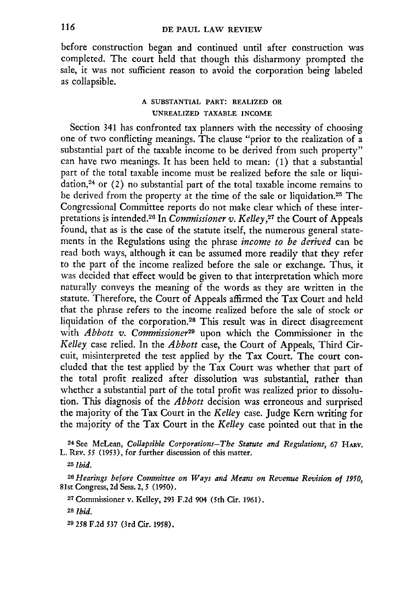before construction began and continued until after construction was completed. The court held that though this disharmony prompted the sale, it was not sufficient reason to avoid the corporation being labeled as collapsible.

### **A SUBSTANTIAL PART: REALIZED OR UNREALIZED TAXABLE INCOME**

Section 341 has confronted tax planners with the necessity of choosing one of two conflicting meanings. The clause "prior to the realization of a substantial part of the taxable income to be derived from such property" can have two meanings. It has been held to mean: (1) that a substantial part of the total taxable income must be realized before the sale or liquidation, $24$  or (2) no substantial part of the total taxable income remains to be derived from the property at the time of the sale or liquidation.<sup>25</sup> The Congressional Committee reports do not make clear which of these interpretations is intended. 26 In *Commissioner v. Kelley,27* the Court of Appeals found, that as is the case of the statute itself, the numerous general statements in the Regulations using the phrase *income to be derived* can be read both ways, although it can be assumed more readily that they refer to the part of the income realized before the sale or exchange. Thus, it was decided that effect would be given to that interpretation which more naturally conveys the meaning of the words as they are written in the statute. Therefore, the Court of Appeals affirmed the Tax Court and held that the phrase refers to the income realized before the sale of stock or liquidation of the corporation.<sup>28</sup> This result was in direct disagreement with *Abbott v. Commissioner29* upon which the Commissioner in the *Kelley* case relied. In the *Abbott* case, the Court of Appeals, Third Circuit, misinterpreted the test applied by the Tax Court. The court concluded that the test applied by the Tax Court was whether that part of the total profit realized after dissolution was substantial, rather than whether a substantial part of the total profit was realized prior to dissolution. This diagnosis of the *Abbott* decision was erroneous and surprised the majority of the Tax Court in the *Kelley* case. Judge Kern writing for the majority of the Tax Court in the *Kelley* case pointed out that in the

24 See McLean, *Collapsible Corporations-The Statute and Regulations,* 67 **HARV.** L. REv. *55* (1953), for further discussion of this matter.

**<sup>25</sup>***Ibid.*

*<sup>26</sup>Hearings before Committee on Ways and Means on Revenue Revision of 1950,* 81st Congress, 2d Sess. 2, 5 (1950).

**<sup>2</sup> <sup>7</sup>**Commissioner v. Kelley, **293** F.2d 904 (5th Cir. 1961).

**<sup>28</sup>***Ibid.*

**29 258 F.2d 537 (3rd Cir. 1958).**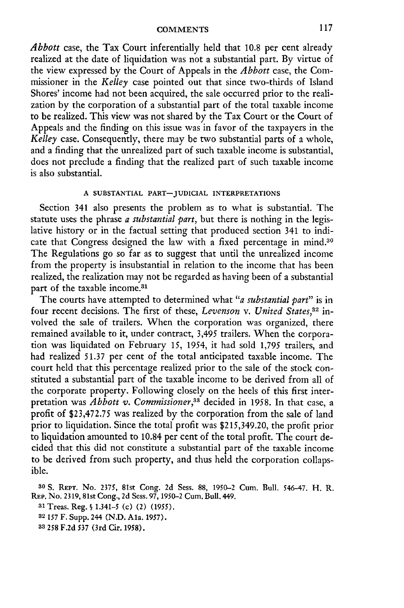#### **COMMENTS**

*Abbott* case, the Tax Court inferentially held that 10.8 per cent already realized at the date of liquidation was not a substantial part. By virtue of the view expressed by the Court of Appeals in the *Abbott* case, the Commissioner in the *Kelley* case pointed out that since two-thirds of Island Shores' income had not been acquired, the sale occurred prior to the realization by the corporation of a substantial part of the total taxable income to be realized. This view was not shared by the Tax Court or the Court of Appeals and the finding on this issue was in favor of the taxpayers in the *Kelley* case. Consequently, there may be two substantial parts of a whole, and a finding that the unrealized part of such taxable income is substantial, does not preclude a finding that the realized part of such taxable income is also substantial.

#### **A SUBSTANTIAL PART-JUDICIAL INTERPRETATIONS**

Section 341 also presents the problem as to what is substantial. The statute uses the phrase *a substantial part,* but there is nothing in the legislative history or in the factual setting that produced section 341 to indicate that Congress designed the law with a fixed percentage in mind.<sup>30</sup> The Regulations go so far as to suggest that until the unrealized income from the property is insubstantial in relation to the income that has been realized, the realization may not be regarded as having been of a substantial part of the taxable income.<sup>31</sup>

The courts have attempted to determined what *"a substantial part"* is in four recent decisions. The first of these, *Levenson v. United States*,<sup>32</sup> involved the sale of trailers. When the corporation was organized, there remained available to it, under contract, 3,495 trailers. When the corporation was liquidated on February *15,* 1954, it had sold 1,795 trailers, and had realized 51.37 per cent of the total anticipated taxable income. The court held that this percentage realized prior to the sale of the stock constituted a substantial part of the taxable income to be derived from all of the corporate property. Following closely on the heels of this first interpretation was *Abbott v. Commissioner*,<sup>33</sup> decided in 1958. In that case, a profit of \$23,472.75 was realized by the corporation from the sale of land prior to liquidation. Since the total profit was \$215,349.20, the profit prior to liquidation amounted to 10.84 per cent of the total profit. The court decided that this did not constitute a substantial part of the taxable income to be derived from such property, and thus held the corporation collapsible.

**30 S. REPT.** No. 2375, 81st Cong. 2d Sess. 88, 1950-2 Cum. Bull. 546-47. H. R. REP. No. 2319, 81st Cong., 2d Sess. 97, *1950-2* Cum. Bull. 449.

**<sup>31</sup>**Treas. Reg. **§** 1.341-5 (c) (2) (1955).

**<sup>32</sup>***157* F. Supp. 244 **(N.D.** Ala. **1957).**

**33** *258* F.2d **537** (3rd Cir. **1958).**